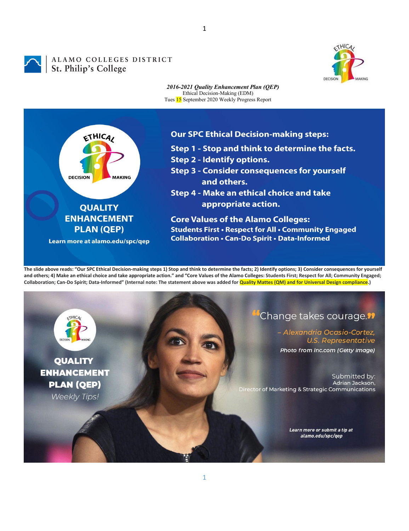1



## ALAMO COLLEGES DISTRICT<br>St. Philip's College



*2016-2021 Quality Enhancement Plan (QEP)* Ethical Decision-Making (EDM) Tues 15 September 2020 Weekly Progress Report



## **Our SPC Ethical Decision-making steps:**

- Step 1 Stop and think to determine the facts.
- **Step 2 Identify options.**
- **Step 3 Consider consequences for yourself** and others.
- Step 4 Make an ethical choice and take appropriate action.

**Core Values of the Alamo Colleges: Students First • Respect for All • Community Engaged Collaboration . Can-Do Spirit . Data-Informed** 

**The slide above reads: "Our SPC Ethical Decision-making steps 1) Stop and think to determine the facts; 2) Identify options; 3) Consider consequences for yourself and others; 4) Make an ethical choice and take appropriate action." and "Core Values of the Alamo Colleges: Students First; Respect for All; Community Engaged; Collaboration; Can-Do Spirit; Data-Informed" (Internal note: The statement above was added for Quality Mattes (QM) and for Universal Design compliance.)**

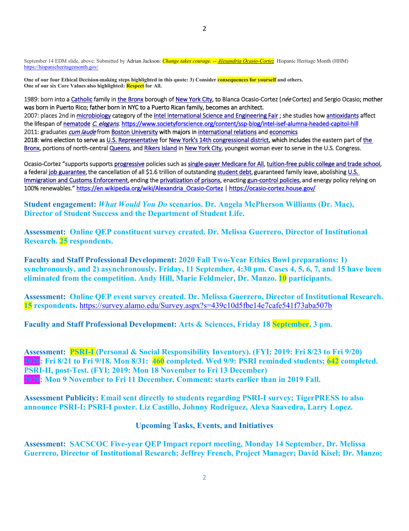September 14 EDM slide, above: Submitted by Adrian Jackson: *Change takes courage. -- [Alexandria Ocasio-Cortez](https://www.brainyquote.com/authors/alexandria-ocasio-cortez-quotes)* Hispanic Heritage Month (HHM) <https://hispanicheritagemonth.gov/>

**One of our four Ethical Decision-making steps highlighted in this quote: 3) Consider consequences for yourself and others. One of our six Core Values also highlighted: Respect for All.**

1989: born into [a Catholic](https://en.wikipedia.org/wiki/Catholic) family in [the Bronx b](https://en.wikipedia.org/wiki/The_Bronx)orough o[f New York City,](https://en.wikipedia.org/wiki/New_York_City) to Blanca Ocasio-Cortez (née Cortez) and Sergio Ocasio; mother was born in Puerto Rico; father born in NYC to a Puerto Rican family, becomes an architect. 2007: places 2nd i[n microbiology](https://en.wikipedia.org/wiki/Microbiology) category of th[e Intel International Science and Engineering Fair](https://en.wikipedia.org/wiki/Intel_International_Science_and_Engineering_Fair) ; she studies ho[w antioxidants](https://en.wikipedia.org/wiki/Antioxidant) affect the lifespan o[f nematode](https://en.wikipedia.org/wiki/Nematode) [C. elegans](https://en.wikipedia.org/wiki/C._elegans). https://www.societyforscience.org/content/ssp-blog/intel-isef-alumna-headed-capitol-hill 2011: graduates [cum laude](https://en.wikipedia.org/wiki/Latin_honors#Distinctions) fro[m Boston University](https://en.wikipedia.org/wiki/Boston_University) with majors i[n international relations](https://en.wikipedia.org/wiki/International_relations) and economics 2018: wins election to serve a[s U.S. Representative f](https://en.wikipedia.org/wiki/United_States_House_of_Representatives)o[r New York's 14th congressional district,](https://en.wikipedia.org/wiki/New_York%27s_14th_congressional_district) which includes the eastern part o[f the](https://en.wikipedia.org/wiki/The_Bronx)  [Bronx,](https://en.wikipedia.org/wiki/The_Bronx) portions of north-central [Queens,](https://en.wikipedia.org/wiki/Queens) an[d Rikers Island](https://en.wikipedia.org/wiki/Rikers_Island) i[n New York City,](https://en.wikipedia.org/wiki/New_York_City) youngest woman ever to serve in the U.S. Congress.

Ocasio-Cortez "supports supports [progressive p](https://en.wikipedia.org/wiki/Progressivism_in_the_United_States#Progressivism_in_the_21st_century)olicies such a[s single-payer Medicare for All,](https://en.wikipedia.org/wiki/Single-payer_healthcare) [tuition-free public college and trade school,](https://en.wikipedia.org/wiki/Tuition-free_college) a federal [job guarantee,](https://en.wikipedia.org/wiki/Job_guarantee) the cancellation of all \$1.6 trillion of outstandin[g student debt,](https://en.wikipedia.org/wiki/Student_debt) guaranteed family leave, abolishing U.S. [Immigration and Customs Enforcement,](https://en.wikipedia.org/wiki/U.S._Immigration_and_Customs_Enforcement) ending th[e privatization of prisons,](https://en.wikipedia.org/wiki/Incarceration_in_the_United_States#Privatization) enactin[g gun-control policies,](https://en.wikipedia.org/wiki/Gun_politics_in_the_United_States) and energy policy relying on 100% renewables.[" https://en.wikipedia.org/wiki/Alexandria\\_Ocasio-Cortez](https://en.wikipedia.org/wiki/Alexandria_Ocasio-Cortez) [| https://ocasio-cortez.house.gov/](https://ocasio-cortez.house.gov/) 

**Student engagement:** *What Would You Do* **scenarios. Dr. Angela McPherson Williams (Dr. Mac), Director of Student Success and the Department of Student Life.**

**Assessment: Online QEP constituent survey created. Dr. Melissa Guerrero, Director of Institutional Research. 25 respondents.**

**Faculty and Staff Professional Development: 2020 Fall Two-Year Ethics Bowl preparations: 1) synchronously, and 2) asynchronously. Friday, 11 September, 4:30 pm. Cases 4, 5, 6, 7, and 15 have been eliminated from the competition. Andy Hill, Marie Feldmeier, Dr. Manzo. 10 participants.**

**Assessment: Online QEP event survey created. Dr. Melissa Guerrero, Director of Institutional Research. 15 respondents.** <https://survey.alamo.edu/Survey.aspx?s=439c10d5fbe14e7cafe541f73aba507b>

**Faculty and Staff Professional Development: Arts & Sciences, Friday 18 September, 3 pm.**

**Assessment: PSRI-I (Personal & Social Responsibility Inventory). (FYI: 2019: Fri 8/23 to Fri 9/20) 2020: Fri 8/21 to Fri 9/18. Mon 8/31: 460 completed. Wed 9/9: PSRI reminded students; 642 completed. PSRI-II, post-Test. (FYI: 2019: Mon 18 November to Fri 13 December) 2020: Mon 9 November to Fri 11 December. Comment: starts earlier than in 2019 Fall.**

**Assessment Publicity: Email sent directly to students regarding PSRI-I survey; TigerPRESS to also announce PSRI-I; PSRI-I poster. Liz Castillo, Johnny Rodriguez, Alexa Saavedra, Larry Lopez.** 

**Upcoming Tasks, Events, and Initiatives**

**Assessment: SACSCOC Five-year QEP Impact report meeting, Monday 14 September, Dr. Melissa Guerrero, Director of Institutional Research; Jeffrey French, Project Manager; David Kisel; Dr. Manzo;**